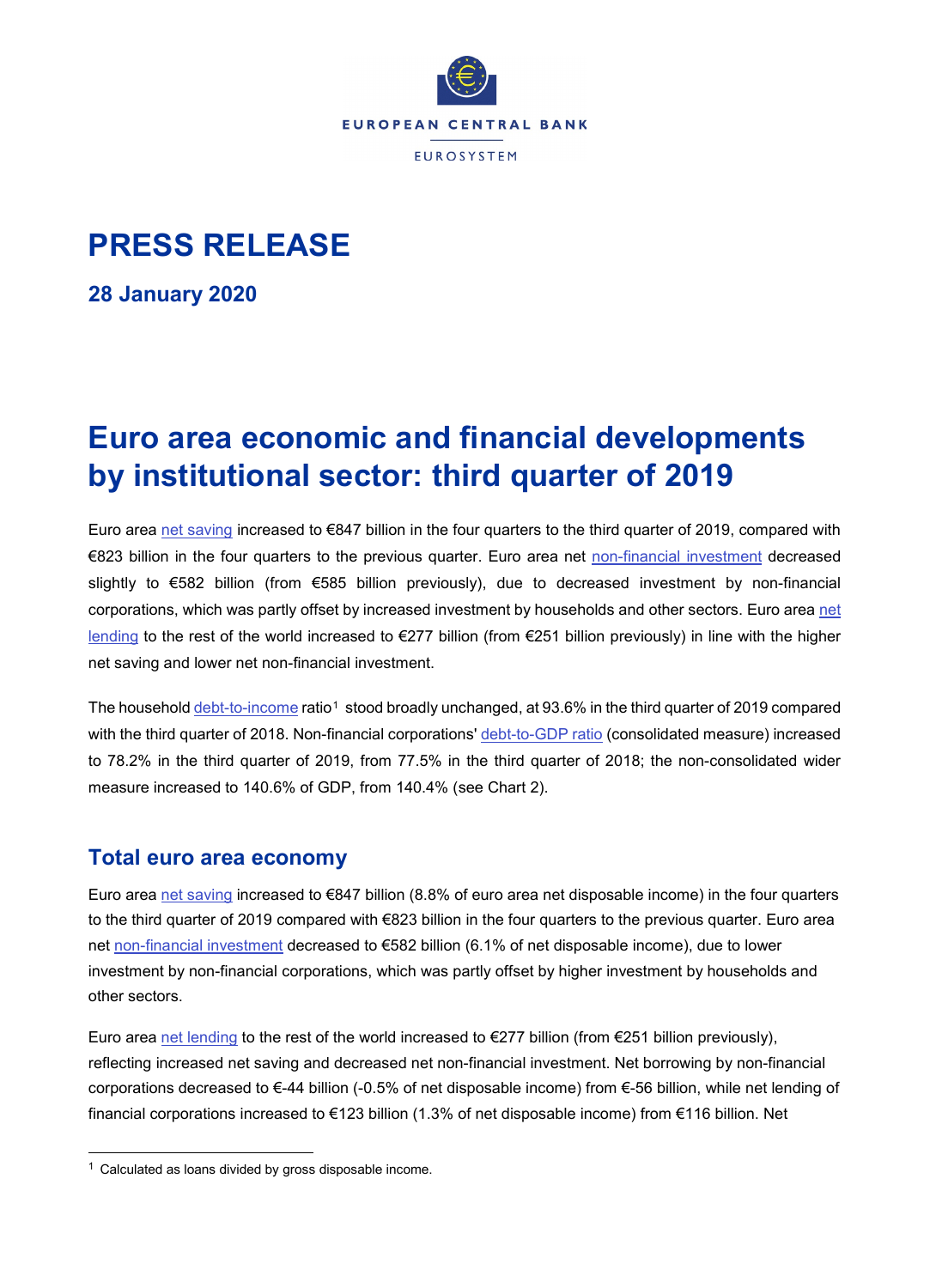

# **PRESS RELEASE**

**28 January 2020**

# **Euro area economic and financial developments by institutional sector: third quarter of 2019**

Euro area [net saving](http://sdw.ecb.europa.eu/browseTable.do?dc=&type=series&cv=&ec=&rc=&node=SEARCHRESULTS&oc=&df=&q=QSA.Q.N.I8.W0.S1.S1._Z.B.B8G._Z._Z._Z.XDC._T.S.V.N._T%20QSA.Q.N.I8.W0.S1.S1.N.D.P51C._Z._Z._Z.XDC._T.S.V.N._T%20QSA.Q.N.I8.W0.S1.S1._Z.B.B6G._Z._Z._Z.XDC._T.S.V.N._T&pb=) increased to €847 billion in the four quarters to the third quarter of 2019, compared with €823 billion in the four quarters to the previous quarter. Euro area net [non-financial investment](http://sdw.ecb.europa.eu/browseTable.do?dc=&type=series&cv=&ec=&rc=&node=SEARCHRESULTS&oc=&df=&q=QSA.Q.N.I8.W0.S1.S1.N.D.P5._Z._Z._Z.XDC._T.S.V.N._T%20QSA.Q.N.I8.W0.S1M.S1.N.D.NP._Z._Z._Z.XDC._T.S.V.N._T%20QSA.Q.N.I8.W0.S1.S1.N.D.P51C._Z._Z._Z.XDC._T.S.V.N._T%20QSA.Q.N.I8.W0.S1.S1._Z.B.B6G._Z._Z._Z.XDC._T.S.V.N._T&pb=) decreased slightly to €582 billion (from €585 billion previously), due to decreased investment by non-financial corporations, which was partly offset by increased investment by households and other sectors. Euro are[a net](http://sdw.ecb.europa.eu/quickview.do?SERIES_KEY=332.QSA.Q.N.I8.W0.S1.S1._Z.B.B9._Z._Z._Z.XDC._T.S.V.N._T)  [lending](http://sdw.ecb.europa.eu/quickview.do?SERIES_KEY=332.QSA.Q.N.I8.W0.S1.S1._Z.B.B9._Z._Z._Z.XDC._T.S.V.N._T) to the rest of the world increased to €277 billion (from €251 billion previously) in line with the higher net saving and lower net non-financial investment.

The househol[d debt-to-income](http://sdw.ecb.europa.eu/browseTable.do?type=series&ec=&rc=&oc=&df=&dc=&cv=&node=SEARCHRESULTS&q=QSA.Q.N.I8.W0.S1M.S1.N.L.LE.F4.T._Z.XDC._T.S.V.N._T%20QSA.Q.N.I8.W0.S1M.S1._Z.B.B6G._Z._Z._Z.XDC._T.S.V.N._T%20QSA.Q.N.I8.W0.S1M.S1.N.C.D8._Z._Z._Z.XDC._T.S.V.N._T%20QSA.Q.N.I8.W0.S1M.S1.N.D.D8._Z._Z._Z.XDC._T.S.V.N._T&pb=) ratio<sup>[1](#page-0-0)</sup> stood broadly unchanged, at 93.6% in the third quarter of 2019 compared with the third quarter of 2018. Non-financial corporations' [debt-to-GDP ratio](http://sdw.ecb.europa.eu/browseSelection.do;jsessionid=0823D4D2CF7E1A76FEF07358601EEEF2?type=series&q=QSA.Q.N.I8.W0.S11.S1.C.L.LE.F3T4.T._Z.XDC_R_B1GQ_CY._T.S.V.N._T&node=SEARCHRESULTS&ec=&oc=&rc=&cv=&pb=&dc=&df=) (consolidated measure) increased to 78.2% in the third quarter of 2019, from 77.5% in the third quarter of 2018; the non-consolidated wider measure increased to 140.6% of GDP, from 140.4% (see Chart 2).

# **Total euro area economy**

Euro area [net saving](http://sdw.ecb.europa.eu/browseTable.do?dc=&type=series&cv=&ec=&rc=&node=SEARCHRESULTS&oc=&df=&q=QSA.Q.N.I8.W0.S1.S1._Z.B.B8G._Z._Z._Z.XDC._T.S.V.N._T%20QSA.Q.N.I8.W0.S1.S1.N.D.P51C._Z._Z._Z.XDC._T.S.V.N._T%20QSA.Q.N.I8.W0.S1.S1._Z.B.B6G._Z._Z._Z.XDC._T.S.V.N._T&pb=) increased to €847 billion (8.8% of euro area net disposable income) in the four quarters to the third quarter of 2019 compared with €823 billion in the four quarters to the previous quarter. Euro area net [non-financial investment](http://sdw.ecb.europa.eu/browseTable.do?dc=&type=series&cv=&ec=&rc=&node=SEARCHRESULTS&oc=&df=&q=QSA.Q.N.I8.W0.S1.S1.N.D.P5._Z._Z._Z.XDC._T.S.V.N._T%20QSA.Q.N.I8.W0.S1M.S1.N.D.NP._Z._Z._Z.XDC._T.S.V.N._T%20QSA.Q.N.I8.W0.S1.S1.N.D.P51C._Z._Z._Z.XDC._T.S.V.N._T%20QSA.Q.N.I8.W0.S1.S1._Z.B.B6G._Z._Z._Z.XDC._T.S.V.N._T&pb=) decreased to €582 billion (6.1% of net disposable income), due to lower investment by non-financial corporations, which was partly offset by higher investment by households and other sectors.

Euro area [net lending](http://sdw.ecb.europa.eu/quickview.do?SERIES_KEY=332.QSA.Q.N.I8.W0.S1.S1._Z.B.B9._Z._Z._Z.XDC._T.S.V.N._T) to the rest of the world increased to  $\epsilon$ 277 billion (from  $\epsilon$ 251 billion previously), reflecting increased net saving and decreased net non-financial investment. Net borrowing by non-financial corporations decreased to €-44 billion (-0.5% of net disposable income) from €-56 billion, while net lending of financial corporations increased to €123 billion (1.3% of net disposable income) from €116 billion. Net

<span id="page-0-0"></span> $1$  Calculated as loans divided by gross disposable income.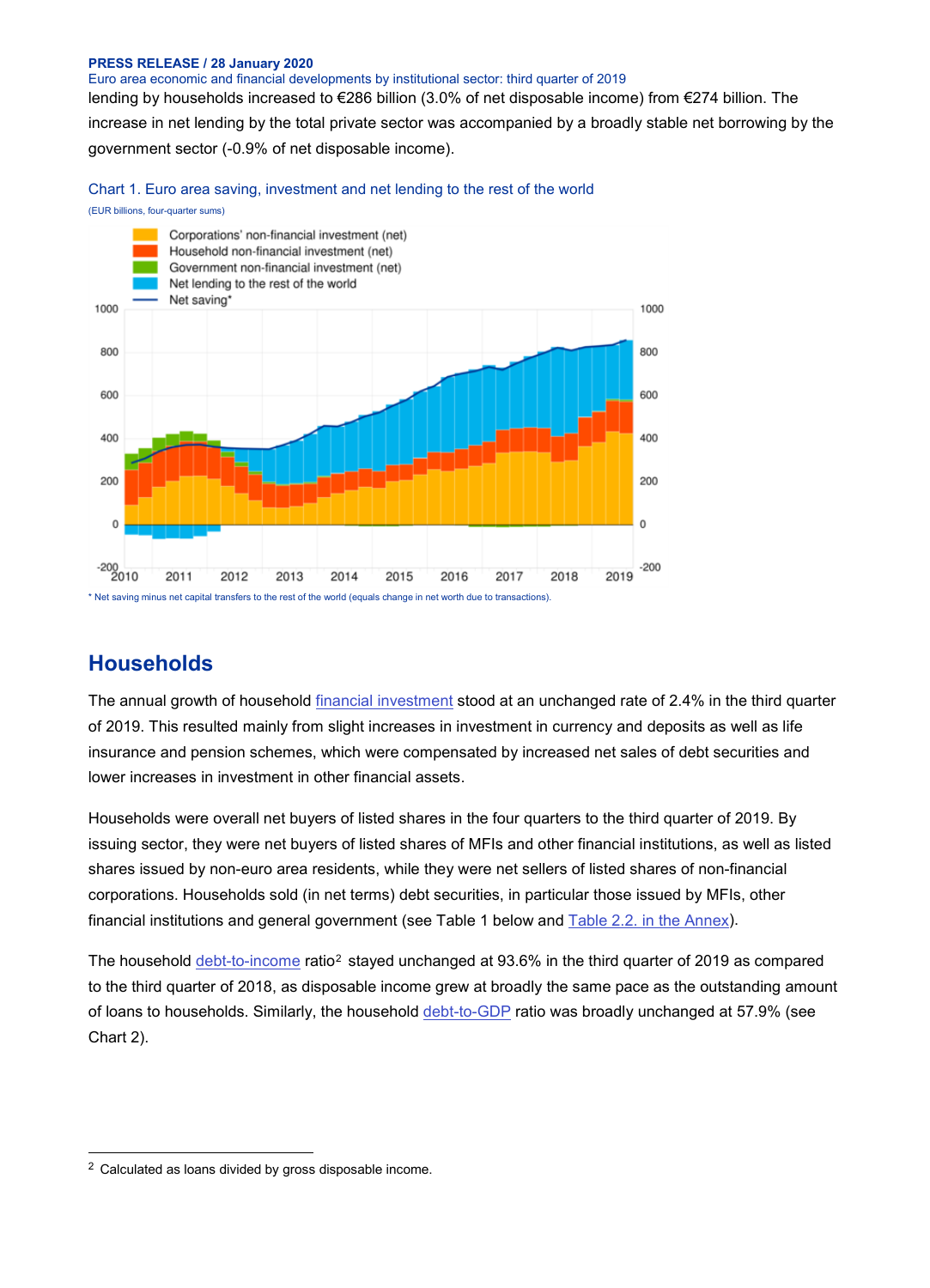#### **PRESS RELEASE / 28 January 2020**

Euro area economic and financial developments by institutional sector: third quarter of 2019 lending by households increased to €286 billion (3.0% of net disposable income) from €274 billion. The increase in net lending by the total private sector was accompanied by a broadly stable net borrowing by the government sector (-0.9% of net disposable income).

Chart 1. Euro area saving, investment and net lending to the rest of the world





## **Households**

The annual growth of household [financial investment](http://sdw.ecb.europa.eu/browseTable.do?dc=&type=series&cv=&ec=&rc=&node=SEARCHRESULTS&oc=&df=&q=QSA.Q.N.I8.W0.S1M.S1.N.A.F.F._Z._Z.XDC._T.S.V.N._T%20QSA.Q.N.I8.W0.S1M.S1.N.A.LE.F._Z._Z.XDC._T.S.V.N._T&pb=&SERIES_KEY=332.QSA.Q.N.I8.W0.S1M.S1.N.A.F.F._Z._Z.XDC._T.S.V.N._T&SERIES_KEY=332.QSA.Q.N.I8.W0.S1M.S1.N.A.LE.F._Z._Z.XDC._T.S.V.N._T) stood at an unchanged rate of 2.4% in the third quarter of 2019. This resulted mainly from slight increases in investment in currency and deposits as well as life insurance and pension schemes, which were compensated by increased net sales of debt securities and lower increases in investment in other financial assets.

Households were overall net buyers of listed shares in the four quarters to the third quarter of 2019. By issuing sector, they were net buyers of listed shares of MFIs and other financial institutions, as well as listed shares issued by non-euro area residents, while they were net sellers of listed shares of non-financial corporations. Households sold (in net terms) debt securities, in particular those issued by MFIs, other financial institutions and general government (see Table 1 below and [Table 2.2. in the Annex\)](http://sdw.ecb.europa.eu/web/generator/prl/pr_qsa_0201_2019q3.pdf).

The household [debt-to-income](http://sdw.ecb.europa.eu/browseTable.do?type=series&ec=&rc=&oc=&df=&dc=&cv=&node=SEARCHRESULTS&q=QSA.Q.N.I8.W0.S1M.S1.N.L.LE.F4.T._Z.XDC._T.S.V.N._T%20QSA.Q.N.I8.W0.S1M.S1._Z.B.B6G._Z._Z._Z.XDC._T.S.V.N._T%20QSA.Q.N.I8.W0.S1M.S1.N.C.D8._Z._Z._Z.XDC._T.S.V.N._T%20QSA.Q.N.I8.W0.S1M.S1.N.D.D8._Z._Z._Z.XDC._T.S.V.N._T&pb=) ratio<sup>[2](#page-1-0)</sup> stayed unchanged at 93.6% in the third quarter of 2019 as compared to the third quarter of 2018, as disposable income grew at broadly the same pace as the outstanding amount of loans to households. Similarly, the household [debt-to-GDP](http://sdw.ecb.europa.eu/browseTable.do?type=series&ec=&rc=&oc=&df=&dc=&cv=&node=SEARCHRESULTS&q=QSA.Q.N.I8.W0.S1M.S1.N.L.LE.F4.T._Z.XDC._T.S.V.N._T%20QSA.Q.N.I8.W0.S1.S1._Z.B.B1GQ._Z._Z._Z.XDC._T.S.V.N._T&pb=) ratio was broadly unchanged at 57.9% (see Chart 2).

<span id="page-1-0"></span> <sup>2</sup> Calculated as loans divided by gross disposable income.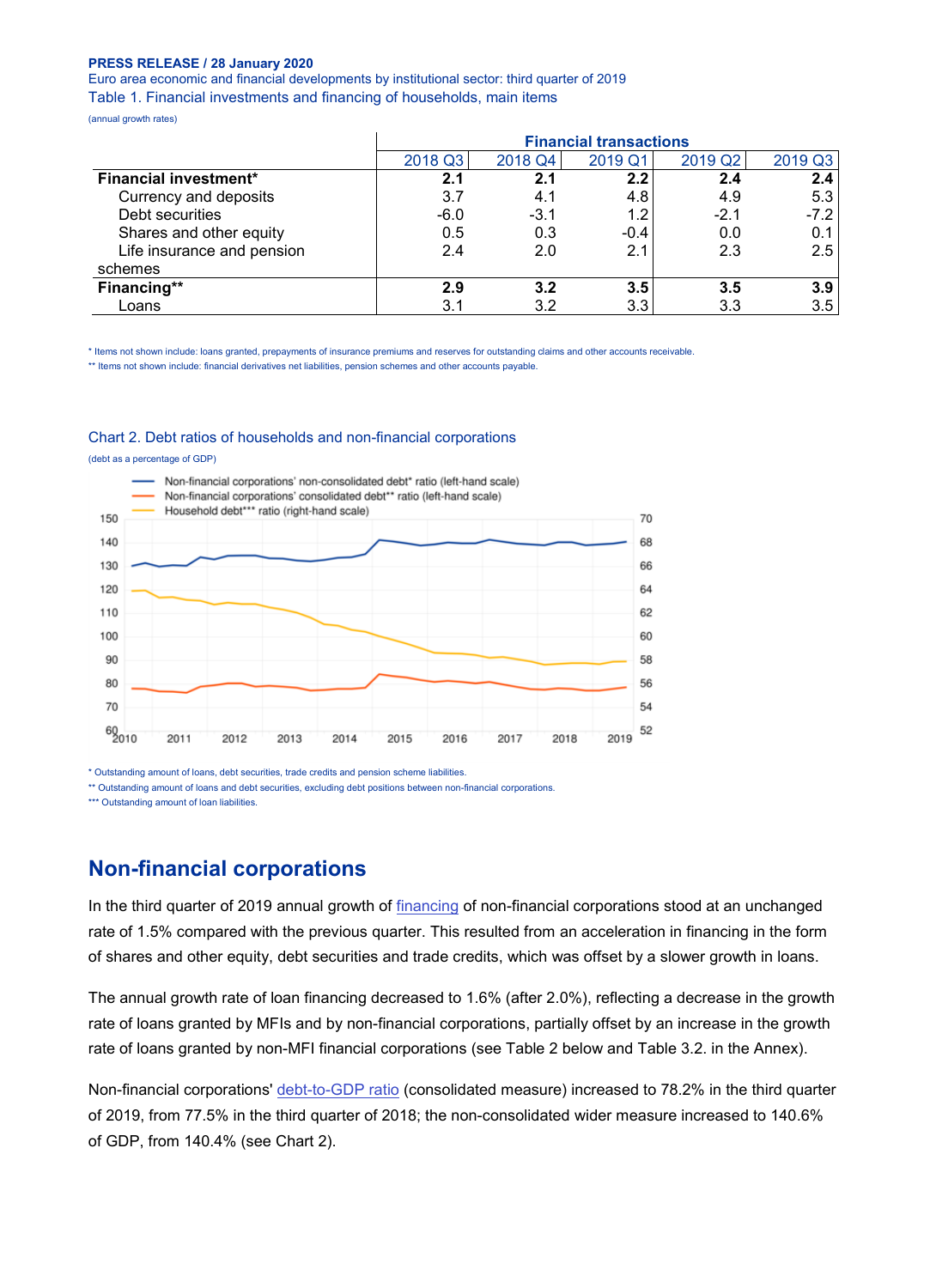## **PRESS RELEASE / 28 January 2020**

Euro area economic and financial developments by institutional sector: third quarter of 2019 Table 1. Financial investments and financing of households, main items

(annual growth rates)

|                              | <b>Financial transactions</b> |         |         |                     |               |  |  |
|------------------------------|-------------------------------|---------|---------|---------------------|---------------|--|--|
|                              | 2018 Q3                       | 2018 Q4 | 2019 Q1 | 2019 Q <sub>2</sub> | 2019 Q3       |  |  |
| <b>Financial investment*</b> | 2.1                           | 2.1     | 2.2     | 2.4                 | 2.4           |  |  |
| Currency and deposits        | 3.7                           | 4.1     | 4.8     | 4.9                 | 5.3           |  |  |
| Debt securities              | $-6.0$                        | $-3.1$  | 1.2     | $-2.1$              | $-7.2$        |  |  |
| Shares and other equity      | 0.5                           | 0.3     | $-0.4$  | 0.0                 | 0.1           |  |  |
| Life insurance and pension   | 2.4                           | 2.0     | 2.1     | 2.3                 | $2.5^{\circ}$ |  |  |
| schemes                      |                               |         |         |                     |               |  |  |
| Financing**                  | 2.9                           | 3.2     | 3.5     | 3.5                 | 3.9           |  |  |
| Loans                        | 3.1                           | 3.2     | 3.3     | 3.3                 | 3.5           |  |  |

\* Items not shown include: loans granted, prepayments of insurance premiums and reserves for outstanding claims and other accounts receivable.

\*\* Items not shown include: financial derivatives net liabilities, pension schemes and other accounts payable.

#### Chart 2. Debt ratios of households and non-financial corporations

(debt as a percentage of GDP)



\* Outstanding amount of loans, debt securities, trade credits and pension scheme liabilities.

\*\* Outstanding amount of loans and debt securities, excluding debt positions between non-financial corporations.

\*\*\* Outstanding amount of loan liabilities.

## **Non-financial corporations**

In the third quarter of 2019 annual growth of [financing](http://sdw.ecb.europa.eu/quickview.do?SERIES_KEY=332.QSA.Q.N.I8.W0.S11.S1.N.L.F.F._Z._Z.XDC._T.S.V.N._T) of non-financial corporations stood at an unchanged rate of 1.5% compared with the previous quarter. This resulted from an acceleration in financing in the form of shares and other equity, debt securities and trade credits, which was offset by a slower growth in loans.

The annual growth rate of loan financing decreased to 1.6% (after 2.0%), reflecting a decrease in the growth rate of loans granted by MFIs and by non-financial corporations, partially offset by an increase in the growth rate of loans granted by non-MFI financial corporations (see Table 2 below and Table 3.2. in the Annex).

Non-financial corporations' [debt-to-GDP ratio](http://sdw.ecb.europa.eu/browseSelection.do;jsessionid=0823D4D2CF7E1A76FEF07358601EEEF2?type=series&q=QSA.Q.N.I8.W0.S11.S1.C.L.LE.F3T4.T._Z.XDC_R_B1GQ_CY._T.S.V.N._T&node=SEARCHRESULTS&ec=&oc=&rc=&cv=&pb=&dc=&df=) (consolidated measure) increased to 78.2% in the third quarter of 2019, from 77.5% in the third quarter of 2018; the non-consolidated wider measure increased to 140.6% of GDP, from 140.4% (see Chart 2).